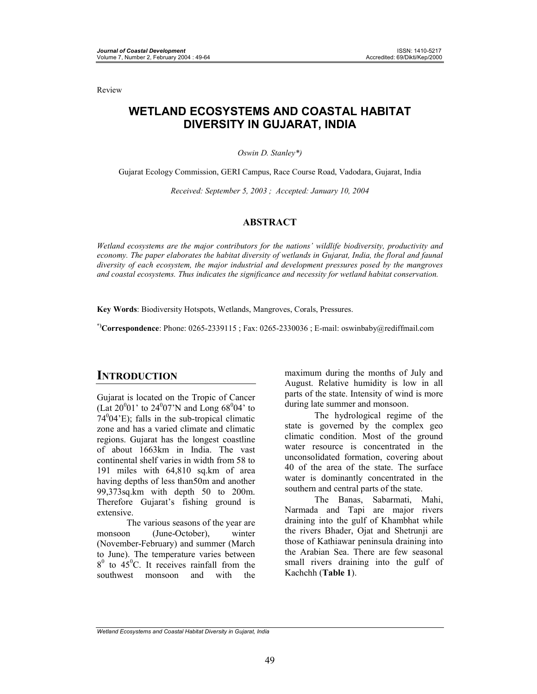Review

# **WETLAND ECOSYSTEMS AND COASTAL HABITAT DIVERSITY IN GUJARAT, INDIA**

#### *Oswin D. Stanley\*)*

Gujarat Ecology Commission, GERI Campus, Race Course Road, Vadodara, Gujarat, India

*Received: September 5, 2003 ; Accepted: January 10, 2004* 

#### **ABSTRACT**

*Wetland ecosystems are the major contributors for the nations' wildlife biodiversity, productivity and economy. The paper elaborates the habitat diversity of wetlands in Gujarat, India, the floral and faunal diversity of each ecosystem, the major industrial and development pressures posed by the mangroves and coastal ecosystems. Thus indicates the significance and necessity for wetland habitat conservation.* 

**Key Words**: Biodiversity Hotspots, Wetlands, Mangroves, Corals, Pressures.

**\*)Correspondence**: Phone: 0265-2339115 ; Fax: 0265-2330036 ; E-mail: oswinbaby@rediffmail.com

## **INTRODUCTION**

Gujarat is located on the Tropic of Cancer (Lat  $20^001'$  to  $24^007'$ N and Long  $68^004'$  to  $74^004$ <sup>'</sup>E); falls in the sub-tropical climatic zone and has a varied climate and climatic regions. Gujarat has the longest coastline of about 1663km in India. The vast continental shelf varies in width from 58 to 191 miles with 64,810 sq.km of area having depths of less than50m and another 99,373sq.km with depth 50 to 200m. Therefore Gujarat's fishing ground is extensive.

The various seasons of the year are monsoon (June-October), winter (November-February) and summer (March to June). The temperature varies between  $8^{\circ}$  to  $45^{\circ}$ C. It receives rainfall from the southwest monsoon and with the

maximum during the months of July and August. Relative humidity is low in all parts of the state. Intensity of wind is more during late summer and monsoon.

The hydrological regime of the state is governed by the complex geo climatic condition. Most of the ground water resource is concentrated in the unconsolidated formation, covering about 40 of the area of the state. The surface water is dominantly concentrated in the southern and central parts of the state.

The Banas, Sabarmati, Mahi, Narmada and Tapi are major rivers draining into the gulf of Khambhat while the rivers Bhader, Ojat and Shetrunji are those of Kathiawar peninsula draining into the Arabian Sea. There are few seasonal small rivers draining into the gulf of Kachchh (**Table 1**).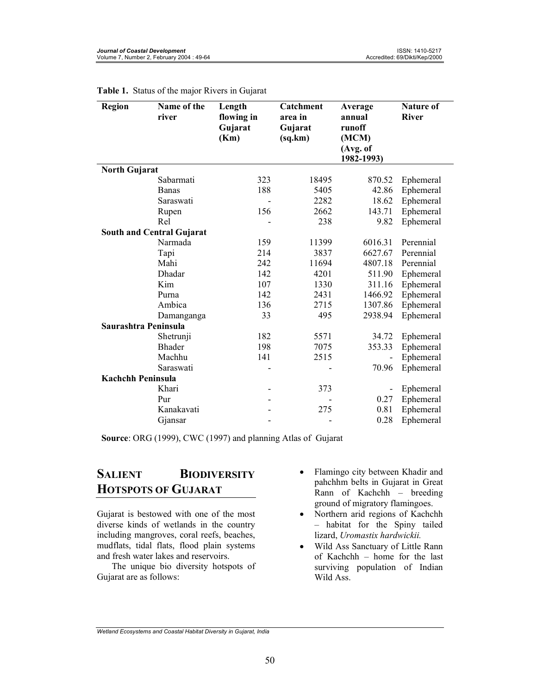| <b>Region</b>                    | Name of the<br>river | Length<br>flowing in<br>Gujarat | Catchment<br>area in<br>Gujarat | Average<br>annual<br>runoff | <b>Nature of</b><br><b>River</b> |
|----------------------------------|----------------------|---------------------------------|---------------------------------|-----------------------------|----------------------------------|
|                                  |                      | (Km)                            | (sq.km)                         | (MCM)                       |                                  |
|                                  |                      |                                 |                                 | (Avg. of<br>1982-1993)      |                                  |
| <b>North Gujarat</b>             |                      |                                 |                                 |                             |                                  |
|                                  | Sabarmati            | 323                             | 18495                           | 870.52                      | Ephemeral                        |
|                                  | <b>Banas</b>         | 188                             | 5405                            | 42.86                       | Ephemeral                        |
|                                  | Saraswati            |                                 | 2282                            | 18.62                       | Ephemeral                        |
|                                  | Rupen                | 156                             | 2662                            | 143.71                      | Ephemeral                        |
|                                  | Rel                  |                                 | 238                             | 9.82                        | Ephemeral                        |
| <b>South and Central Gujarat</b> |                      |                                 |                                 |                             |                                  |
|                                  | Narmada              | 159                             | 11399                           | 6016.31                     | Perennial                        |
|                                  | Tapi                 | 214                             | 3837                            | 6627.67                     | Perennial                        |
|                                  | Mahi                 | 242                             | 11694                           | 4807.18                     | Perennial                        |
|                                  | Dhadar               | 142                             | 4201                            | 511.90                      | Ephemeral                        |
|                                  | Kim                  | 107                             | 1330                            | 311.16                      | Ephemeral                        |
|                                  | Purna                | 142                             | 2431                            | 1466.92                     | Ephemeral                        |
|                                  | Ambica               | 136                             | 2715                            | 1307.86                     | Ephemeral                        |
|                                  | Damanganga           | 33                              | 495                             | 2938.94                     | Ephemeral                        |
| Saurashtra Peninsula             |                      |                                 |                                 |                             |                                  |
|                                  | Shetrunji            | 182                             | 5571                            | 34.72                       | Ephemeral                        |
|                                  | <b>Bhader</b>        | 198                             | 7075                            | 353.33                      | Ephemeral                        |
|                                  | Machhu               | 141                             | 2515                            |                             | Ephemeral                        |
|                                  | Saraswati            |                                 |                                 | 70.96                       | Ephemeral                        |
| <b>Kachchh Peninsula</b>         |                      |                                 |                                 |                             |                                  |
|                                  | Khari                |                                 | 373                             |                             | Ephemeral                        |
|                                  | Pur                  |                                 |                                 | 0.27                        | Ephemeral                        |
|                                  | Kanakavati           |                                 | 275                             | 0.81                        | Ephemeral                        |
|                                  | Gjansar              |                                 |                                 | 0.28                        | Ephemeral                        |

**Table 1.** Status of the major Rivers in Gujarat

**Source**: ORG (1999), CWC (1997) and planning Atlas of Gujarat

# **SALIENT BIODIVERSITY HOTSPOTS OF GUJARAT**

Gujarat is bestowed with one of the most diverse kinds of wetlands in the country including mangroves, coral reefs, beaches, mudflats, tidal flats, flood plain systems and fresh water lakes and reservoirs.

The unique bio diversity hotspots of Gujarat are as follows:

- Flamingo city between Khadir and pahchhm belts in Gujarat in Great Rann of Kachchh – breeding ground of migratory flamingoes.
- Northern arid regions of Kachchh – habitat for the Spiny tailed lizard, *Uromastix hardwickii.*
- Wild Ass Sanctuary of Little Rann of Kachchh – home for the last surviving population of Indian Wild Ass.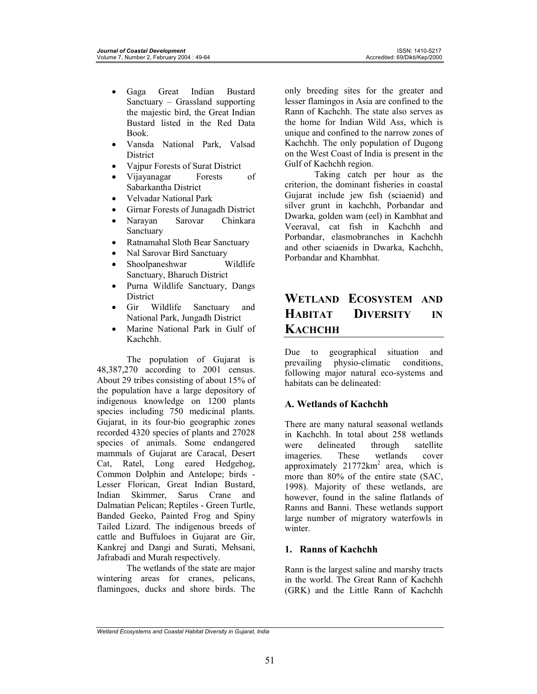- Gaga Great Indian Bustard Sanctuary – Grassland supporting the majestic bird, the Great Indian Bustard listed in the Red Data Book.
- Vansda National Park, Valsad **District**
- Vajpur Forests of Surat District
- Vijayanagar Forests of Sabarkantha District
- Velvadar National Park
- Girnar Forests of Junagadh District
- Narayan Sarovar Chinkara **Sanctuary**
- Ratnamahal Sloth Bear Sanctuary
- Nal Sarovar Bird Sanctuary
- Shoolpaneshwar Wildlife Sanctuary, Bharuch District
- Purna Wildlife Sanctuary, Dangs **District**
- Gir Wildlife Sanctuary and National Park, Jungadh District
- Marine National Park in Gulf of Kachchh.

The population of Gujarat is 48,387,270 according to 2001 census. About 29 tribes consisting of about 15% of the population have a large depository of indigenous knowledge on 1200 plants species including 750 medicinal plants. Gujarat, in its four-bio geographic zones recorded 4320 species of plants and 27028 species of animals. Some endangered mammals of Gujarat are Caracal, Desert Cat, Ratel, Long eared Hedgehog, Common Dolphin and Antelope; birds - Lesser Florican, Great Indian Bustard, Indian Skimmer, Sarus Crane and Dalmatian Pelican; Reptiles - Green Turtle, Banded Geeko, Painted Frog and Spiny Tailed Lizard. The indigenous breeds of cattle and Buffuloes in Gujarat are Gir, Kankrej and Dangi and Surati, Mehsani, Jafrabadi and Murah respectively.

The wetlands of the state are major wintering areas for cranes, pelicans, flamingoes, ducks and shore birds. The only breeding sites for the greater and lesser flamingos in Asia are confined to the Rann of Kachchh. The state also serves as the home for Indian Wild Ass, which is unique and confined to the narrow zones of Kachchh. The only population of Dugong on the West Coast of India is present in the Gulf of Kachchh region.

Taking catch per hour as the criterion, the dominant fisheries in coastal Gujarat include jew fish (sciaenid) and silver grunt in kachchh, Porbandar and Dwarka, golden wam (eel) in Kambhat and Veeraval, cat fish in Kachchh and Porbandar, elasmobranches in Kachchh and other sciaenids in Dwarka, Kachchh, Porbandar and Khambhat.

# **WETLAND ECOSYSTEM AND HABITAT DIVERSITY IN KACHCHH**

Due to geographical situation and prevailing physio-climatic conditions, following major natural eco-systems and habitats can be delineated:

## **A. Wetlands of Kachchh**

There are many natural seasonal wetlands in Kachchh. In total about 258 wetlands<br>were delineated through satellite delineated through satellite imageries. These wetlands cover approximately  $21772 \text{km}^2$  area, which is more than 80% of the entire state (SAC, 1998). Majority of these wetlands, are however, found in the saline flatlands of Ranns and Banni. These wetlands support large number of migratory waterfowls in winter

## **1. Ranns of Kachchh**

Rann is the largest saline and marshy tracts in the world. The Great Rann of Kachchh (GRK) and the Little Rann of Kachchh

*Wetland Ecosystems and Coastal Habitat Diversity in Gujarat, India*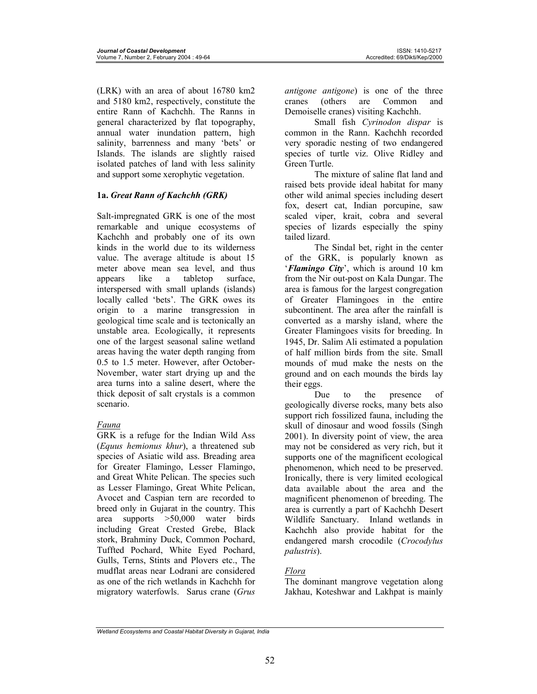(LRK) with an area of about 16780 km2 and 5180 km2, respectively, constitute the entire Rann of Kachchh. The Ranns in general characterized by flat topography, annual water inundation pattern, high salinity, barrenness and many 'bets' or Islands. The islands are slightly raised isolated patches of land with less salinity and support some xerophytic vegetation.

## **1a.** *Great Rann of Kachchh (GRK)*

Salt-impregnated GRK is one of the most remarkable and unique ecosystems of Kachchh and probably one of its own kinds in the world due to its wilderness value. The average altitude is about 15 meter above mean sea level, and thus appears like a tabletop surface, interspersed with small uplands (islands) locally called 'bets'. The GRK owes its origin to a marine transgression in geological time scale and is tectonically an unstable area. Ecologically, it represents one of the largest seasonal saline wetland areas having the water depth ranging from 0.5 to 1.5 meter. However, after October-November, water start drying up and the area turns into a saline desert, where the thick deposit of salt crystals is a common scenario.

## *Fauna*

GRK is a refuge for the Indian Wild Ass (*Equus hemionus khur*), a threatened sub species of Asiatic wild ass. Breading area for Greater Flamingo, Lesser Flamingo, and Great White Pelican. The species such as Lesser Flamingo, Great White Pelican, Avocet and Caspian tern are recorded to breed only in Gujarat in the country. This area supports >50,000 water birds including Great Crested Grebe, Black stork, Brahminy Duck, Common Pochard, Tuffted Pochard, White Eyed Pochard, Gulls, Terns, Stints and Plovers etc., The mudflat areas near Lodrani are considered as one of the rich wetlands in Kachchh for migratory waterfowls. Sarus crane (*Grus* 

*antigone antigone*) is one of the three cranes (others are Common and Demoiselle cranes) visiting Kachchh.

Small fish *Cyrinodon dispar* is common in the Rann. Kachchh recorded very sporadic nesting of two endangered species of turtle viz. Olive Ridley and Green Turtle.

The mixture of saline flat land and raised bets provide ideal habitat for many other wild animal species including desert fox, desert cat, Indian porcupine, saw scaled viper, krait, cobra and several species of lizards especially the spiny tailed lizard.

The Sindal bet, right in the center of the GRK, is popularly known as '*Flamingo City*', which is around 10 km from the Nir out-post on Kala Dungar. The area is famous for the largest congregation of Greater Flamingoes in the entire subcontinent. The area after the rainfall is converted as a marshy island, where the Greater Flamingoes visits for breeding. In 1945, Dr. Salim Ali estimated a population of half million birds from the site. Small mounds of mud make the nests on the ground and on each mounds the birds lay their eggs.

Due to the presence of geologically diverse rocks, many bets also support rich fossilized fauna, including the skull of dinosaur and wood fossils (Singh 2001). In diversity point of view, the area may not be considered as very rich, but it supports one of the magnificent ecological phenomenon, which need to be preserved. Ironically, there is very limited ecological data available about the area and the magnificent phenomenon of breeding. The area is currently a part of Kachchh Desert Wildlife Sanctuary. Inland wetlands in Kachchh also provide habitat for the endangered marsh crocodile (*Crocodylus palustris*).

## *Flora*

The dominant mangrove vegetation along Jakhau, Koteshwar and Lakhpat is mainly

*Wetland Ecosystems and Coastal Habitat Diversity in Gujarat, India*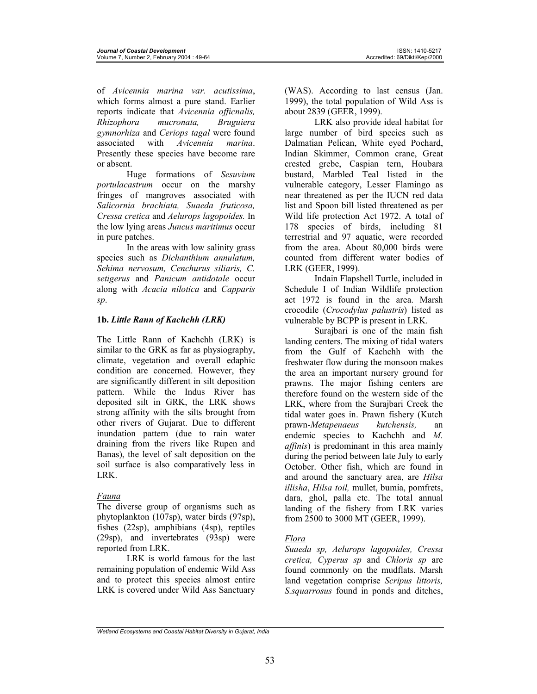of *Avicennia marina var. acutissima*, which forms almost a pure stand. Earlier reports indicate that *Avicennia officnalis, Rhizophora mucronata, Bruguiera gymnorhiza* and *Ceriops tagal* were found associated with *Avicennia marina*. Presently these species have become rare or absent.

Huge formations of *Sesuvium portulacastrum* occur on the marshy fringes of mangroves associated with *Salicornia brachiata, Suaeda fruticosa, Cressa cretica* and *Aelurops lagopoides.* In the low lying areas *Juncus maritimus* occur in pure patches.

In the areas with low salinity grass species such as *Dichanthium annulatum, Sehima nervosum, Cenchurus siliaris, C. setigerus* and *Panicum antidotale* occur along with *Acacia nilotica* and *Capparis sp*.

## **1b.** *Little Rann of Kachchh (LRK)*

The Little Rann of Kachchh (LRK) is similar to the GRK as far as physiography, climate, vegetation and overall edaphic condition are concerned. However, they are significantly different in silt deposition pattern. While the Indus River has deposited silt in GRK, the LRK shows strong affinity with the silts brought from other rivers of Gujarat. Due to different inundation pattern (due to rain water draining from the rivers like Rupen and Banas), the level of salt deposition on the soil surface is also comparatively less in LRK.

## *Fauna*

The diverse group of organisms such as phytoplankton (107sp), water birds (97sp), fishes (22sp), amphibians (4sp), reptiles (29sp), and invertebrates (93sp) were reported from LRK.

LRK is world famous for the last remaining population of endemic Wild Ass and to protect this species almost entire LRK is covered under Wild Ass Sanctuary

(WAS). According to last census (Jan. 1999), the total population of Wild Ass is about 2839 (GEER, 1999).

LRK also provide ideal habitat for large number of bird species such as Dalmatian Pelican, White eyed Pochard, Indian Skimmer, Common crane, Great crested grebe, Caspian tern, Houbara bustard, Marbled Teal listed in the vulnerable category, Lesser Flamingo as near threatened as per the IUCN red data list and Spoon bill listed threatened as per Wild life protection Act 1972. A total of 178 species of birds, including 81 terrestrial and 97 aquatic, were recorded from the area. About 80,000 birds were counted from different water bodies of LRK (GEER, 1999).

Indain Flapshell Turtle, included in Schedule I of Indian Wildlife protection act 1972 is found in the area. Marsh crocodile (*Crocodylus palustris*) listed as vulnerable by BCPP is present in LRK.

Surajbari is one of the main fish landing centers. The mixing of tidal waters from the Gulf of Kachchh with the freshwater flow during the monsoon makes the area an important nursery ground for prawns. The major fishing centers are therefore found on the western side of the LRK, where from the Surajbari Creek the tidal water goes in. Prawn fishery (Kutch prawn-*Metapenaeus kutchensis,* an endemic species to Kachchh and *M. affinis*) is predominant in this area mainly during the period between late July to early October. Other fish, which are found in and around the sanctuary area, are *Hilsa illisha*, *Hilsa toil,* mullet, bumia, pomfrets, dara, ghol, palla etc. The total annual landing of the fishery from LRK varies from 2500 to 3000 MT (GEER, 1999).

## *Flora*

*Suaeda sp, Aelurops lagopoides, Cressa cretica, Cyperus sp* and *Chloris sp* are found commonly on the mudflats. Marsh land vegetation comprise *Scripus littoris, S.squarrosus* found in ponds and ditches,

*Wetland Ecosystems and Coastal Habitat Diversity in Gujarat, India*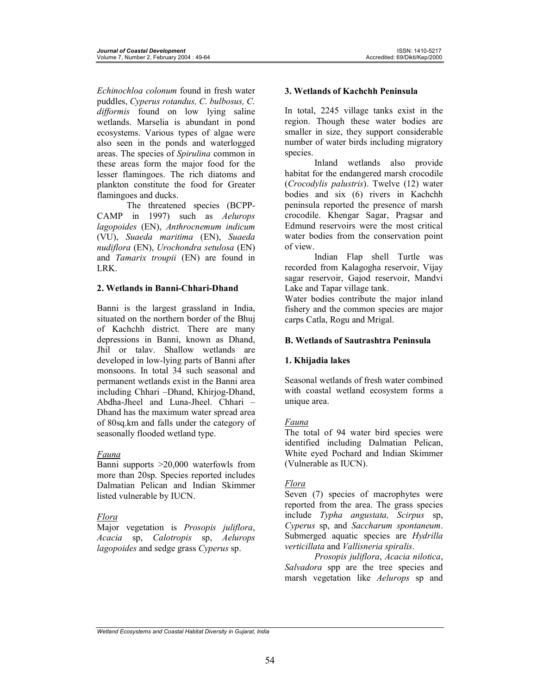*Echinochloa colonum* found in fresh water puddles, *Cyperus rotandus, C. bulbosus, C. difformis* found on low lying saline wetlands. Marselia is abundant in pond ecosystems. Various types of algae were also seen in the ponds and waterlogged areas. The species of *Spirulina* common in these areas form the major food for the lesser flamingoes. The rich diatoms and plankton constitute the food for Greater flamingoes and ducks.

The threatened species (BCPP-CAMP in 1997) such as *Aelurops lagopoides* (EN), *Anthrocnemum indicum* (VU), *Suaeda maritima* (EN), *Suaeda nudiflora* (EN), *Urochondra setulosa* (EN) and *Tamarix troupii* (EN) are found in LRK.

## **2. Wetlands in Banni-Chhari-Dhand**

Banni is the largest grassland in India, situated on the northern border of the Bhuj of Kachchh district. There are many depressions in Banni, known as Dhand, Jhil or talav. Shallow wetlands are developed in low-lying parts of Banni after monsoons. In total 34 such seasonal and permanent wetlands exist in the Banni area including Chhari –Dhand, Khirjog-Dhand, Abdha-Jheel and Luna-Jheel. Chhari – Dhand has the maximum water spread area of 80sq.km and falls under the category of seasonally flooded wetland type.

## *Fauna*

Banni supports >20,000 waterfowls from more than 20sp. Species reported includes Dalmatian Pelican and Indian Skimmer listed vulnerable by IUCN.

## *Flora*

Major vegetation is *Prosopis juliflora*, *Acacia* sp, *Calotropis* sp, *Aelurops lagopoides* and sedge grass *Cyperus* sp.

### **3. Wetlands of Kachchh Peninsula**

In total, 2245 village tanks exist in the region. Though these water bodies are smaller in size, they support considerable number of water birds including migratory species.

Inland wetlands also provide habitat for the endangered marsh crocodile (*Crocodylis palustris*). Twelve (12) water bodies and six (6) rivers in Kachchh peninsula reported the presence of marsh crocodile. Khengar Sagar, Pragsar and Edmund reservoirs were the most critical water bodies from the conservation point of view.

Indian Flap shell Turtle was recorded from Kalagogha reservoir, Vijay sagar reservoir, Gajod reservoir, Mandvi Lake and Tapar village tank.

Water bodies contribute the major inland fishery and the common species are major carps Catla, Rogu and Mrigal.

## **B. Wetlands of Sautrashtra Peninsula**

## **1. Khijadia lakes**

Seasonal wetlands of fresh water combined with coastal wetland ecosystem forms a unique area.

## *Fauna*

The total of 94 water bird species were identified including Dalmatian Pelican, White eyed Pochard and Indian Skimmer (Vulnerable as IUCN).

## *Flora*

Seven (7) species of macrophytes were reported from the area. The grass species include *Typha angustata, Scirpus* sp, *Cyperus* sp, and *Saccharum spontaneum*. Submerged aquatic species are *Hydrilla verticillata* and *Vallisneria spiralis*.

*Prosopis juliflora*, *Acacia nilotica*, *Salvadora* spp are the tree species and marsh vegetation like *Aelurops* sp and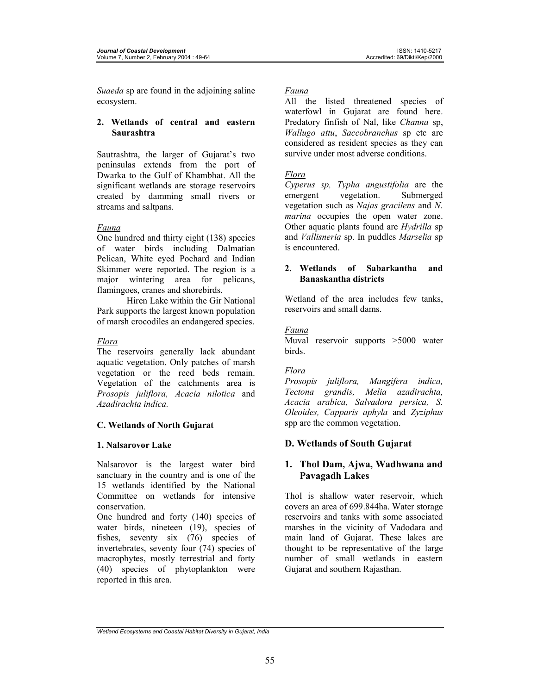*Suaeda* sp are found in the adjoining saline ecosystem.

### **2. Wetlands of central and eastern Saurashtra**

Sautrashtra, the larger of Gujarat's two peninsulas extends from the port of Dwarka to the Gulf of Khambhat. All the significant wetlands are storage reservoirs created by damming small rivers or streams and saltpans.

### *Fauna*

One hundred and thirty eight (138) species of water birds including Dalmatian Pelican, White eyed Pochard and Indian Skimmer were reported. The region is a major wintering area for pelicans, flamingoes, cranes and shorebirds.

Hiren Lake within the Gir National Park supports the largest known population of marsh crocodiles an endangered species.

## *Flora*

The reservoirs generally lack abundant aquatic vegetation. Only patches of marsh vegetation or the reed beds remain. Vegetation of the catchments area is *Prosopis juliflora, Acacia nilotica* and *Azadirachta indica.*

## **C. Wetlands of North Gujarat**

### **1. Nalsarovor Lake**

Nalsarovor is the largest water bird sanctuary in the country and is one of the 15 wetlands identified by the National Committee on wetlands for intensive conservation.

One hundred and forty (140) species of water birds, nineteen (19), species of fishes, seventy six (76) species of invertebrates, seventy four (74) species of macrophytes, mostly terrestrial and forty (40) species of phytoplankton were reported in this area.

### *Fauna*

All the listed threatened species of waterfowl in Gujarat are found here. Predatory finfish of Nal, like *Channa* sp, *Wallugo attu*, *Saccobranchus* sp etc are considered as resident species as they can survive under most adverse conditions.

## *Flora*

*Cyperus sp, Typha angustifolia* are the emergent vegetation. Submerged vegetation such as *Najas gracilens* and *N. marina* occupies the open water zone. Other aquatic plants found are *Hydrilla* sp and *Vallisneria* sp. In puddles *Marselia* sp is encountered.

### **2. Wetlands of Sabarkantha and Banaskantha districts**

Wetland of the area includes few tanks, reservoirs and small dams.

## *Fauna*

Muval reservoir supports >5000 water birds.

## *Flora*

*Prosopis juliflora, Mangifera indica, Tectona grandis, Melia azadirachta, Acacia arabica, Salvadora persica, S. Oleoides, Capparis aphyla* and *Zyziphus*  spp are the common vegetation.

## **D. Wetlands of South Gujarat**

## **1. Thol Dam, Ajwa, Wadhwana and Pavagadh Lakes**

Thol is shallow water reservoir, which covers an area of 699.844ha. Water storage reservoirs and tanks with some associated marshes in the vicinity of Vadodara and main land of Gujarat. These lakes are thought to be representative of the large number of small wetlands in eastern Gujarat and southern Rajasthan.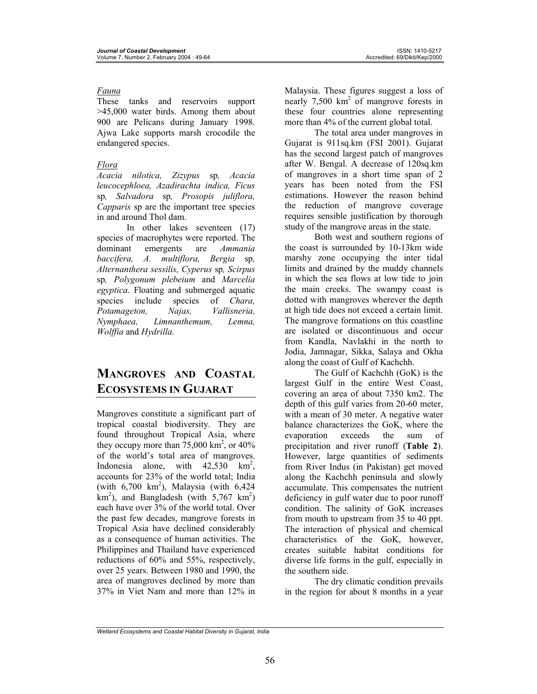### *Fauna*

These tanks and reservoirs support >45,000 water birds. Among them about 900 are Pelicans during January 1998. Ajwa Lake supports marsh crocodile the endangered species.

### *Flora*

*Acacia nilotica, Zizypus* sp*, Acacia leucocephloea, Azadirachta indica, Ficus*  sp*, Salvadora* sp*, Prosopis juliflora, Capparis* sp are the important tree species in and around Thol dam.

In other lakes seventeen (17) species of macrophytes were reported. The dominant emergents are *Ammania baccifera, A. multiflora, Bergia* sp*, Alternanthera sessilis, Cyperus* sp*, Scirpus*  sp*, Polygonum plebeium* and *Marcelia egyptica*. Floating and submerged aquatic species include species of *Chara, Potamageton, Najas, Vallisneria, Nymphaea, Limnanthemum, Lemna, Wolffia* and *Hydrilla.* 

# **MANGROVES AND COASTAL ECOSYSTEMS IN GUJARAT**

Mangroves constitute a significant part of tropical coastal biodiversity. They are found throughout Tropical Asia, where they occupy more than  $75{,}000 \text{ km}^2$ , or  $40\%$ of the world's total area of mangroves. Indonesia alone, with  $42,530$  km<sup>2</sup>, accounts for 23% of the world total; India (with  $6,700 \text{ km}^2$ ), Malaysia (with  $6,424$  $km<sup>2</sup>$ ), and Bangladesh (with 5,767 km<sup>2</sup>) each have over 3% of the world total. Over the past few decades, mangrove forests in Tropical Asia have declined considerably as a consequence of human activities. The Philippines and Thailand have experienced reductions of 60% and 55%, respectively, over 25 years. Between 1980 and 1990, the area of mangroves declined by more than 37% in Viet Nam and more than 12% in

Malaysia. These figures suggest a loss of nearly 7,500 km<sup>2</sup> of mangrove forests in these four countries alone representing more than 4% of the current global total.

The total area under mangroves in Gujarat is 911sq.km (FSI 2001). Gujarat has the second largest patch of mangroves after W. Bengal. A decrease of 120sq.km of mangroves in a short time span of 2 years has been noted from the FSI estimations. However the reason behind the reduction of mangrove coverage requires sensible justification by thorough study of the mangrove areas in the state.

Both west and southern regions of the coast is surrounded by 10-13km wide marshy zone occupying the inter tidal limits and drained by the muddy channels in which the sea flows at low tide to join the main creeks. The swampy coast is dotted with mangroves wherever the depth at high tide does not exceed a certain limit. The mangrove formations on this coastline are isolated or discontinuous and occur from Kandla, Navlakhi in the north to Jodia, Jamnagar, Sikka, Salaya and Okha along the coast of Gulf of Kachchh.

The Gulf of Kachchh (GoK) is the largest Gulf in the entire West Coast, covering an area of about 7350 km2. The depth of this gulf varies from 20-60 meter, with a mean of 30 meter. A negative water balance characterizes the GoK, where the evaporation exceeds the sum of precipitation and river runoff (**Table 2**). However, large quantities of sediments from River Indus (in Pakistan) get moved along the Kachchh peninsula and slowly accumulate. This compensates the nutrient deficiency in gulf water due to poor runoff condition. The salinity of GoK increases from mouth to upstream from 35 to 40 ppt. The interaction of physical and chemical characteristics of the GoK, however, creates suitable habitat conditions for diverse life forms in the gulf, especially in the southern side.

The dry climatic condition prevails in the region for about 8 months in a year

*Wetland Ecosystems and Coastal Habitat Diversity in Gujarat, India*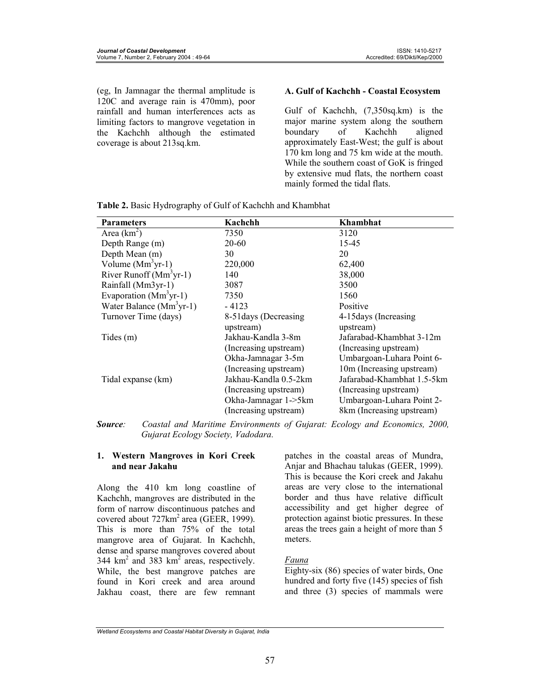(eg, In Jamnagar the thermal amplitude is 120C and average rain is 470mm), poor rainfall and human interferences acts as limiting factors to mangrove vegetation in the Kachchh although the estimated coverage is about 213sq.km.

#### **A. Gulf of Kachchh - Coastal Ecosystem**

Gulf of Kachchh, (7,350sq.km) is the major marine system along the southern boundary of Kachchh aligned approximately East-West; the gulf is about 170 km long and 75 km wide at the mouth. While the southern coast of GoK is fringed by extensive mud flats, the northern coast mainly formed the tidal flats.

| <b>Parameters</b>         | Kachchh               | Khambhat                   |  |  |
|---------------------------|-----------------------|----------------------------|--|--|
| Area $(km^2)$             | 7350                  | 3120                       |  |  |
| Depth Range (m)           | 20-60                 | 15-45                      |  |  |
| Depth Mean (m)            | 30                    | 20                         |  |  |
| Volume $(Mm3yr-1)$        | 220,000               | 62,400                     |  |  |
| River Runoff $(Mm3yr-1)$  | 140                   | 38,000                     |  |  |
| Rainfall (Mm3yr-1)        | 3087                  | 3500                       |  |  |
| Evaporation $(Mm3yr-1)$   | 7350                  | 1560                       |  |  |
| Water Balance $(Mm3yr-1)$ | $-4123$               | Positive                   |  |  |
| Turnover Time (days)      | 8-51 days (Decreasing | 4-15 days (Increasing)     |  |  |
|                           | upstream)             | upstream)                  |  |  |
| Tides(m)                  | Jakhau-Kandla 3-8m    | Jafarabad-Khambhat 3-12m   |  |  |
|                           | (Increasing upstream) | (Increasing upstream)      |  |  |
|                           | Okha-Jamnagar 3-5m    | Umbargoan-Luhara Point 6-  |  |  |
|                           | (Increasing upstream) | 10m (Increasing upstream)  |  |  |
| Tidal expanse (km)        | Jakhau-Kandla 0.5-2km | Jafarabad-Khambhat 1.5-5km |  |  |
|                           | (Increasing upstream) | (Increasing upstream)      |  |  |
|                           | Okha-Jamnagar 1->5km  | Umbargoan-Luhara Point 2-  |  |  |
|                           | (Increasing upstream) | 8km (Increasing upstream)  |  |  |

*Source: Coastal and Maritime Environments of Gujarat: Ecology and Economics, 2000, Gujarat Ecology Society, Vadodara.* 

#### **1. Western Mangroves in Kori Creek and near Jakahu**

Along the 410 km long coastline of Kachchh, mangroves are distributed in the form of narrow discontinuous patches and covered about  $727 \text{km}^2$  area (GEER, 1999). This is more than 75% of the total mangrove area of Gujarat. In Kachchh, dense and sparse mangroves covered about 344  $\text{km}^2$  and 383  $\text{km}^2$  areas, respectively. While, the best mangrove patches are found in Kori creek and area around Jakhau coast, there are few remnant

patches in the coastal areas of Mundra, Anjar and Bhachau talukas (GEER, 1999). This is because the Kori creek and Jakahu areas are very close to the international border and thus have relative difficult accessibility and get higher degree of protection against biotic pressures. In these areas the trees gain a height of more than 5 meters.

#### *Fauna*

Eighty-six (86) species of water birds, One hundred and forty five (145) species of fish and three (3) species of mammals were

*Wetland Ecosystems and Coastal Habitat Diversity in Gujarat, India*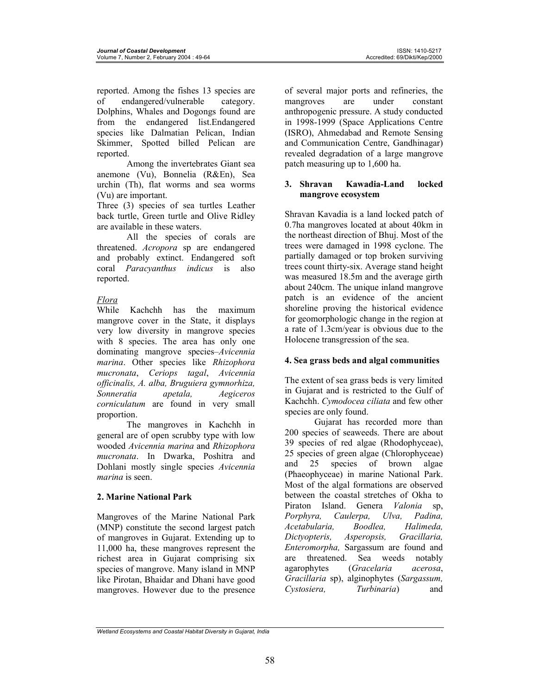reported. Among the fishes 13 species are of endangered/vulnerable category. Dolphins, Whales and Dogongs found are from the endangered list.Endangered species like Dalmatian Pelican, Indian Skimmer, Spotted billed Pelican are reported.

Among the invertebrates Giant sea anemone (Vu), Bonnelia (R&En), Sea urchin (Th), flat worms and sea worms (Vu) are important.

Three (3) species of sea turtles Leather back turtle, Green turtle and Olive Ridley are available in these waters.

All the species of corals are threatened. *Acropora* sp are endangered and probably extinct. Endangered soft coral *Paracyanthus indicus* is also reported.

## *Flora*

While Kachchh has the maximum mangrove cover in the State, it displays very low diversity in mangrove species with 8 species. The area has only one dominating mangrove species–*Avicennia marina*. Other species like *Rhizophora mucronata*, *Ceriops tagal*, *Avicennia officinalis, A. alba, Bruguiera gymnorhiza, Sonneratia apetala, Aegiceros corniculatum* are found in very small proportion.

The mangroves in Kachchh in general are of open scrubby type with low wooded *Avicennia marina* and *Rhizophora mucronata*. In Dwarka, Poshitra and Dohlani mostly single species *Avicennia marina* is seen.

## **2. Marine National Park**

Mangroves of the Marine National Park (MNP) constitute the second largest patch of mangroves in Gujarat. Extending up to 11,000 ha, these mangroves represent the richest area in Gujarat comprising six species of mangrove. Many island in MNP like Pirotan, Bhaidar and Dhani have good mangroves. However due to the presence

of several major ports and refineries, the mangroves are under constant anthropogenic pressure. A study conducted in 1998-1999 (Space Applications Centre (ISRO), Ahmedabad and Remote Sensing and Communication Centre, Gandhinagar) revealed degradation of a large mangrove patch measuring up to 1,600 ha.

### **3. Shravan Kawadia-Land locked mangrove ecosystem**

Shravan Kavadia is a land locked patch of 0.7ha mangroves located at about 40km in the northeast direction of Bhuj. Most of the trees were damaged in 1998 cyclone. The partially damaged or top broken surviving trees count thirty-six. Average stand height was measured 18.5m and the average girth about 240cm. The unique inland mangrove patch is an evidence of the ancient shoreline proving the historical evidence for geomorphologic change in the region at a rate of 1.3cm/year is obvious due to the Holocene transgression of the sea.

## **4. Sea grass beds and algal communities**

The extent of sea grass beds is very limited in Gujarat and is restricted to the Gulf of Kachchh. *Cymodocea ciliata* and few other species are only found.

Gujarat has recorded more than 200 species of seaweeds. There are about 39 species of red algae (Rhodophyceae), 25 species of green algae (Chlorophyceae) and 25 species of brown algae (Phaeophyceae) in marine National Park. Most of the algal formations are observed between the coastal stretches of Okha to Piraton Island. Genera *Valonia* sp, *Porphyra, Caulerpa, Ulva, Padina, Acetabularia, Boodlea, Halimeda, Dictyopteris, Asperopsis, Gracillaria, Enteromorpha,* Sargassum are found and are threatened. Sea weeds notably agarophytes (*Gracelaria acerosa*, *Gracillaria* sp), alginophytes (*Sargassum, Cystosiera, Turbinaria*) and

*Wetland Ecosystems and Coastal Habitat Diversity in Gujarat, India*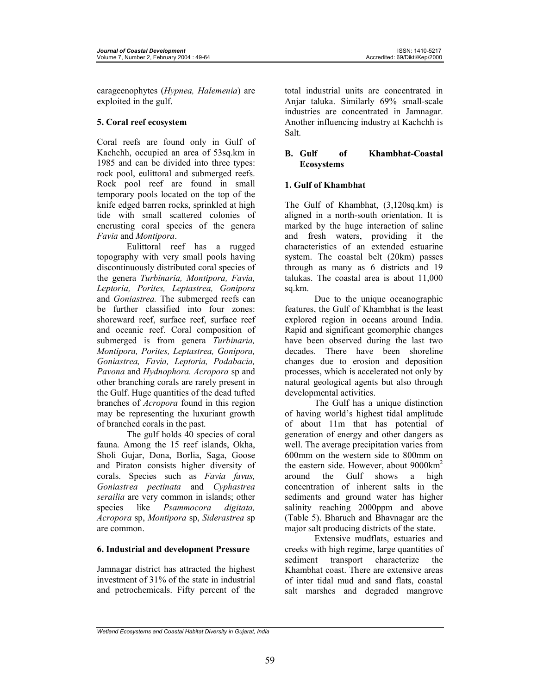carageenophytes (*Hypnea, Halemenia*) are exploited in the gulf.

## **5. Coral reef ecosystem**

Coral reefs are found only in Gulf of Kachchh, occupied an area of 53sq.km in 1985 and can be divided into three types: rock pool, eulittoral and submerged reefs. Rock pool reef are found in small temporary pools located on the top of the knife edged barren rocks, sprinkled at high tide with small scattered colonies of encrusting coral species of the genera *Favia* and *Montipora*.

Eulittoral reef has a rugged topography with very small pools having discontinuously distributed coral species of the genera *Turbinaria, Montipora, Favia, Leptoria, Porites, Leptastrea, Gonipora*  and *Goniastrea.* The submerged reefs can be further classified into four zones: shoreward reef, surface reef, surface reef and oceanic reef. Coral composition of submerged is from genera *Turbinaria, Montipora, Porites, Leptastrea, Gonipora, Goniastrea, Favia, Leptoria, Podabacia, Pavona* and *Hydnophora. Acropora* sp and other branching corals are rarely present in the Gulf. Huge quantities of the dead tufted branches of *Acropora* found in this region may be representing the luxuriant growth of branched corals in the past.

The gulf holds 40 species of coral fauna. Among the 15 reef islands, Okha, Sholi Gujar, Dona, Borlia, Saga, Goose and Piraton consists higher diversity of corals. Species such as *Favia favus, Goniastrea pectinata* and *Cyphastrea serailia* are very common in islands; other species like *Psammocora digitata, Acropora* sp, *Montipora* sp, *Siderastrea* sp are common.

## **6. Industrial and development Pressure**

Jamnagar district has attracted the highest investment of 31% of the state in industrial and petrochemicals. Fifty percent of the

total industrial units are concentrated in Anjar taluka. Similarly 69% small-scale industries are concentrated in Jamnagar. Another influencing industry at Kachchh is Salt.

### **B. Gulf of Khambhat-Coastal Ecosystems**

## **1. Gulf of Khambhat**

The Gulf of Khambhat, (3,120sq.km) is aligned in a north-south orientation. It is marked by the huge interaction of saline and fresh waters, providing it the characteristics of an extended estuarine system. The coastal belt (20km) passes through as many as 6 districts and 19 talukas. The coastal area is about 11,000 sq.km.

Due to the unique oceanographic features, the Gulf of Khambhat is the least explored region in oceans around India. Rapid and significant geomorphic changes have been observed during the last two decades. There have been shoreline changes due to erosion and deposition processes, which is accelerated not only by natural geological agents but also through developmental activities.

The Gulf has a unique distinction of having world's highest tidal amplitude of about 11m that has potential of generation of energy and other dangers as well. The average precipitation varies from 600mm on the western side to 800mm on the eastern side. However, about 9000km<sup>2</sup><br>around the Gulf shows a high around the Gulf shows a high concentration of inherent salts in the sediments and ground water has higher salinity reaching 2000ppm and above (Table 5). Bharuch and Bhavnagar are the major salt producing districts of the state.

Extensive mudflats, estuaries and creeks with high regime, large quantities of sediment transport characterize the Khambhat coast. There are extensive areas of inter tidal mud and sand flats, coastal salt marshes and degraded mangrove

*Wetland Ecosystems and Coastal Habitat Diversity in Gujarat, India*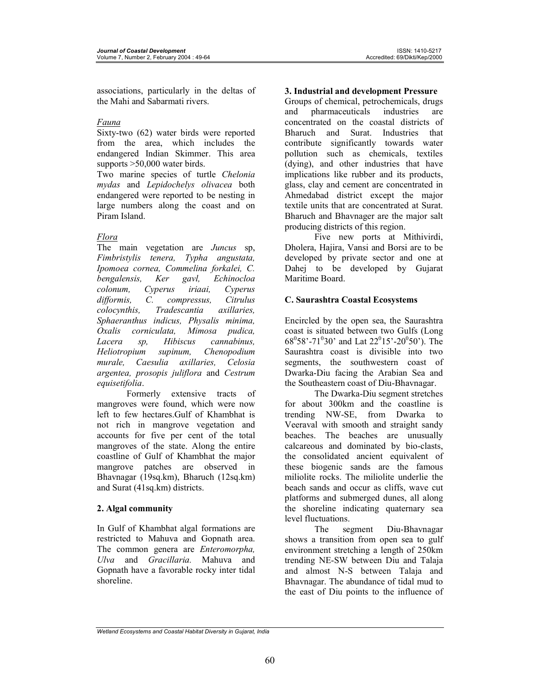associations, particularly in the deltas of the Mahi and Sabarmati rivers.

### *Fauna*

Sixty-two (62) water birds were reported from the area, which includes the endangered Indian Skimmer. This area supports >50,000 water birds.

Two marine species of turtle *Chelonia mydas* and *Lepidochelys olivacea* both endangered were reported to be nesting in large numbers along the coast and on Piram Island.

### *Flora*

The main vegetation are *Juncus* sp, *Fimbristylis tenera, Typha angustata, Ipomoea cornea, Commelina forkalei, C. bengalensis, Ker gavl, Echinocloa colonum, Cyperus iriaai, Cyperus difformis, C. compressus, Citrulus colocynthis, Tradescantia axillaries, Sphaeranthus indicus, Physalis minima, Oxalis corniculata, Mimosa pudica, Lacera sp, Hibiscus cannabinus, Heliotropium supinum, Chenopodium murale, Caesulia axillaries, Celosia argentea, prosopis juliflora* and *Cestrum equisetifolia*.

Formerly extensive tracts of mangroves were found, which were now left to few hectares.Gulf of Khambhat is not rich in mangrove vegetation and accounts for five per cent of the total mangroves of the state. Along the entire coastline of Gulf of Khambhat the major mangrove patches are observed in Bhavnagar (19sq.km), Bharuch (12sq.km) and Surat (41sq.km) districts.

### **2. Algal community**

In Gulf of Khambhat algal formations are restricted to Mahuva and Gopnath area. The common genera are *Enteromorpha, Ulva* and *Gracillaria.* Mahuva and Gopnath have a favorable rocky inter tidal shoreline.

### **3. Industrial and development Pressure**

Groups of chemical, petrochemicals, drugs and pharmaceuticals industries are concentrated on the coastal districts of Bharuch and Surat. Industries that contribute significantly towards water pollution such as chemicals, textiles (dying), and other industries that have implications like rubber and its products, glass, clay and cement are concentrated in Ahmedabad district except the major textile units that are concentrated at Surat. Bharuch and Bhavnager are the major salt producing districts of this region.

Five new ports at Mithivirdi, Dholera, Hajira, Vansi and Borsi are to be developed by private sector and one at Dahej to be developed by Gujarat Maritime Board.

### **C. Saurashtra Coastal Ecosystems**

Encircled by the open sea, the Saurashtra coast is situated between two Gulfs (Long  $68^058' - 71^030'$  and Lat  $22^015' - 20^050'$ ). The Saurashtra coast is divisible into two segments, the southwestern coast of Dwarka-Diu facing the Arabian Sea and the Southeastern coast of Diu-Bhavnagar.

The Dwarka-Diu segment stretches for about 300km and the coastline is trending NW-SE, from Dwarka to Veeraval with smooth and straight sandy beaches. The beaches are unusually calcareous and dominated by bio-clasts, the consolidated ancient equivalent of these biogenic sands are the famous miliolite rocks. The miliolite underlie the beach sands and occur as cliffs, wave cut platforms and submerged dunes, all along the shoreline indicating quaternary sea level fluctuations.

The segment Diu-Bhavnagar shows a transition from open sea to gulf environment stretching a length of 250km trending NE-SW between Diu and Talaja and almost N-S between Talaja and Bhavnagar. The abundance of tidal mud to the east of Diu points to the influence of

*Wetland Ecosystems and Coastal Habitat Diversity in Gujarat, India*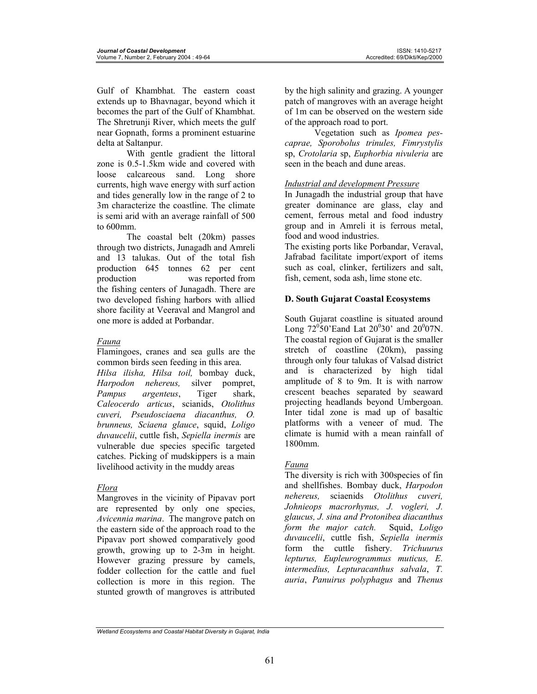Gulf of Khambhat. The eastern coast extends up to Bhavnagar, beyond which it becomes the part of the Gulf of Khambhat. The Shretrunji River, which meets the gulf near Gopnath, forms a prominent estuarine delta at Saltanpur.

With gentle gradient the littoral zone is 0.5-1.5km wide and covered with loose calcareous sand. Long shore currents, high wave energy with surf action and tides generally low in the range of 2 to 3m characterize the coastline. The climate is semi arid with an average rainfall of 500 to 600mm.

The coastal belt (20km) passes through two districts, Junagadh and Amreli and 13 talukas. Out of the total fish production 645 tonnes 62 per cent production was reported from the fishing centers of Junagadh. There are two developed fishing harbors with allied shore facility at Veeraval and Mangrol and one more is added at Porbandar.

## *Fauna*

Flamingoes, cranes and sea gulls are the common birds seen feeding in this area.

*Hilsa ilisha, Hilsa toil,* bombay duck, *Harpodon nehereus,* silver pompret, *Pampus argenteus*, Tiger shark, *Caleocerdo articus*, scianids, *Otolithus cuveri, Pseudosciaena diacanthus, O. brunneus, Sciaena glauce*, squid, *Loligo duvaucelii*, cuttle fish, *Sepiella inermis* are vulnerable due species specific targeted catches. Picking of mudskippers is a main livelihood activity in the muddy areas

### *Flora*

Mangroves in the vicinity of Pipavav port are represented by only one species, *Avicennia marina*. The mangrove patch on the eastern side of the approach road to the Pipavav port showed comparatively good growth, growing up to 2-3m in height. However grazing pressure by camels, fodder collection for the cattle and fuel collection is more in this region. The stunted growth of mangroves is attributed

by the high salinity and grazing. A younger patch of mangroves with an average height of 1m can be observed on the western side of the approach road to port.

Vegetation such as *Ipomea pescaprae, Sporobolus trinules, Fimrystylis* sp, *Crotolaria* sp, *Euphorbia nivuleria* are seen in the beach and dune areas.

## *Industrial and development Pressure*

In Junagadh the industrial group that have greater dominance are glass, clay and cement, ferrous metal and food industry group and in Amreli it is ferrous metal, food and wood industries.

The existing ports like Porbandar, Veraval, Jafrabad facilitate import/export of items such as coal, clinker, fertilizers and salt, fish, cement, soda ash, lime stone etc.

## **D. South Gujarat Coastal Ecosystems**

South Gujarat coastline is situated around Long  $72^{\circ}50'$  Eand Lat  $20^{\circ}30'$  and  $20^{\circ}07$ N. The coastal region of Gujarat is the smaller stretch of coastline (20km), passing through only four talukas of Valsad district and is characterized by high tidal amplitude of 8 to 9m. It is with narrow crescent beaches separated by seaward projecting headlands beyond Umbergoan. Inter tidal zone is mad up of basaltic platforms with a veneer of mud. The climate is humid with a mean rainfall of 1800mm.

## *Fauna*

The diversity is rich with 300species of fin and shellfishes. Bombay duck, *Harpodon nehereus,* sciaenids *Otolithus cuveri, Johnieops macrorhynus, J. vogleri, J. glaucus, J. sina and Protonibea diacanthus form the major catch.* Squid, *Loligo duvaucelii*, cuttle fish, *Sepiella inermis* form the cuttle fishery. *Trichuurus lepturus, Eupleurogrammus muticus, E. intermedius, Lepturacanthus salvala*, *T. auria*, *Panuirus polyphagus* and *Thenus* 

*Wetland Ecosystems and Coastal Habitat Diversity in Gujarat, India*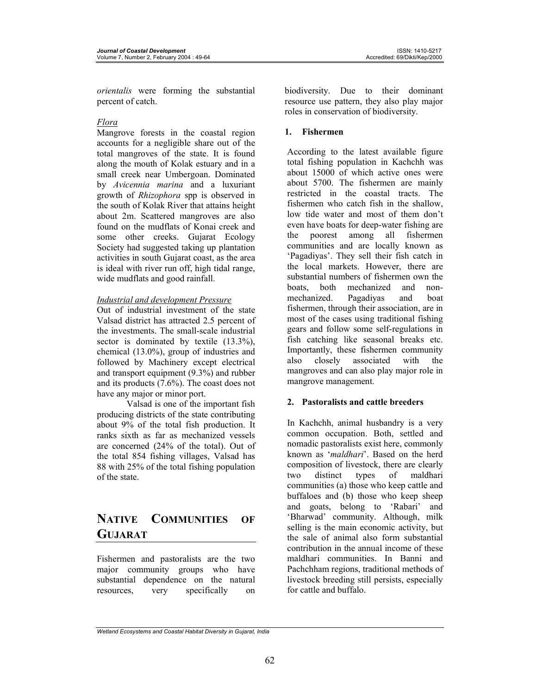*orientalis* were forming the substantial percent of catch.

### *Flora*

Mangrove forests in the coastal region accounts for a negligible share out of the total mangroves of the state. It is found along the mouth of Kolak estuary and in a small creek near Umbergoan. Dominated by *Avicennia marina* and a luxuriant growth of *Rhizophora* spp is observed in the south of Kolak River that attains height about 2m. Scattered mangroves are also found on the mudflats of Konai creek and some other creeks. Gujarat Ecology Society had suggested taking up plantation activities in south Gujarat coast, as the area is ideal with river run off, high tidal range, wide mudflats and good rainfall.

## *Industrial and development Pressure*

Out of industrial investment of the state Valsad district has attracted 2.5 percent of the investments. The small-scale industrial sector is dominated by textile  $(13.3\%)$ , chemical (13.0%), group of industries and followed by Machinery except electrical and transport equipment (9.3%) and rubber and its products (7.6%). The coast does not have any major or minor port.

Valsad is one of the important fish producing districts of the state contributing about 9% of the total fish production. It ranks sixth as far as mechanized vessels are concerned (24% of the total). Out of the total 854 fishing villages, Valsad has 88 with 25% of the total fishing population of the state.

# **NATIVE COMMUNITIES OF GUJARAT**

Fishermen and pastoralists are the two major community groups who have substantial dependence on the natural resources, very specifically on biodiversity. Due to their dominant resource use pattern, they also play major roles in conservation of biodiversity.

## **1. Fishermen**

According to the latest available figure total fishing population in Kachchh was about 15000 of which active ones were about 5700. The fishermen are mainly restricted in the coastal tracts. The fishermen who catch fish in the shallow, low tide water and most of them don't even have boats for deep-water fishing are the poorest among all fishermen communities and are locally known as 'Pagadiyas'. They sell their fish catch in the local markets. However, there are substantial numbers of fishermen own the boats, both mechanized and nonmechanized. Pagadiyas and boat fishermen, through their association, are in most of the cases using traditional fishing gears and follow some self-regulations in fish catching like seasonal breaks etc. Importantly, these fishermen community also closely associated with the mangroves and can also play major role in mangrove management.

## **2. Pastoralists and cattle breeders**

In Kachchh, animal husbandry is a very common occupation. Both, settled and nomadic pastoralists exist here, commonly known as '*maldhari*'. Based on the herd composition of livestock, there are clearly two distinct types of maldhari communities (a) those who keep cattle and buffaloes and (b) those who keep sheep and goats, belong to 'Rabari' and 'Bharwad' community. Although, milk selling is the main economic activity, but the sale of animal also form substantial contribution in the annual income of these maldhari communities. In Banni and Pachchham regions, traditional methods of livestock breeding still persists, especially for cattle and buffalo.

*Wetland Ecosystems and Coastal Habitat Diversity in Gujarat, India*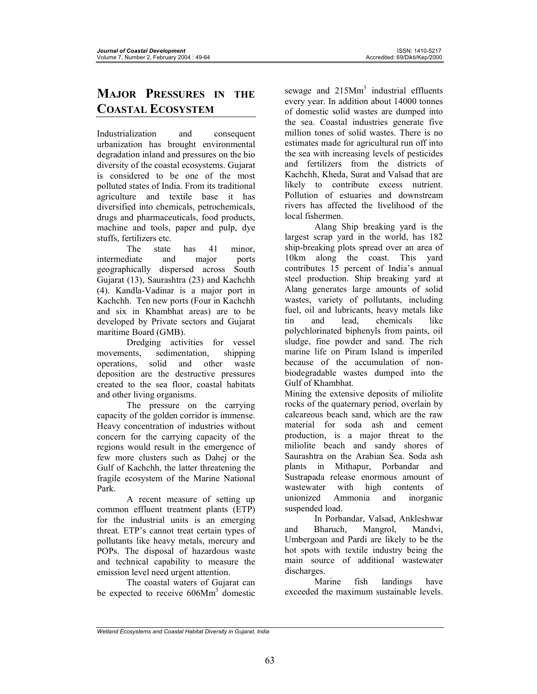# **MAJOR PRESSURES IN THE COASTAL ECOSYSTEM**

Industrialization and consequent urbanization has brought environmental degradation inland and pressures on the bio diversity of the coastal ecosystems. Gujarat is considered to be one of the most polluted states of India. From its traditional agriculture and textile base it has diversified into chemicals, petrochemicals, drugs and pharmaceuticals, food products, machine and tools, paper and pulp, dye stuffs, fertilizers etc.

The state has 41 minor, intermediate and major ports geographically dispersed across South Gujarat (13), Saurashtra (23) and Kachchh (4). Kandla-Vadinar is a major port in Kachchh. Ten new ports (Four in Kachchh and six in Khambhat areas) are to be developed by Private sectors and Gujarat maritime Board (GMB).

Dredging activities for vessel movements, sedimentation, shipping operations, solid and other waste deposition are the destructive pressures created to the sea floor, coastal habitats and other living organisms.

The pressure on the carrying capacity of the golden corridor is immense. Heavy concentration of industries without concern for the carrying capacity of the regions would result in the emergence of few more clusters such as Dahej or the Gulf of Kachchh, the latter threatening the fragile ecosystem of the Marine National Park.

A recent measure of setting up common effluent treatment plants (ETP) for the industrial units is an emerging threat. ETP's cannot treat certain types of pollutants like heavy metals, mercury and POPs. The disposal of hazardous waste and technical capability to measure the emission level need urgent attention.

The coastal waters of Gujarat can be expected to receive 606Mm<sup>3</sup> domestic

sewage and 215Mm<sup>3</sup> industrial effluents every year. In addition about 14000 tonnes of domestic solid wastes are dumped into the sea. Coastal industries generate five million tones of solid wastes. There is no estimates made for agricultural run off into the sea with increasing levels of pesticides and fertilizers from the districts of Kachchh, Kheda, Surat and Valsad that are likely to contribute excess nutrient. Pollution of estuaries and downstream rivers has affected the livelihood of the local fishermen.

Alang Ship breaking yard is the largest scrap yard in the world, has 182 ship-breaking plots spread over an area of 10km along the coast. This yard contributes 15 percent of India's annual steel production. Ship breaking yard at Alang generates large amounts of solid wastes, variety of pollutants, including fuel, oil and lubricants, heavy metals like tin and lead, chemicals like polychlorinated biphenyls from paints, oil sludge, fine powder and sand. The rich marine life on Piram Island is imperiled because of the accumulation of nonbiodegradable wastes dumped into the Gulf of Khambhat.

Mining the extensive deposits of miliolite rocks of the quaternary period, overlain by calcareous beach sand, which are the raw material for soda ash and cement production, is a major threat to the miliolite beach and sandy shores of Saurashtra on the Arabian Sea. Soda ash plants in Mithapur, Porbandar and Sustrapada release enormous amount of wastewater with high contents of unionized Ammonia and inorganic suspended load.

In Porbandar, Valsad, Ankleshwar and Bharuch, Mangrol, Mandvi, Umbergoan and Pardi are likely to be the hot spots with textile industry being the main source of additional wastewater discharges.

Marine fish landings have exceeded the maximum sustainable levels.

*Wetland Ecosystems and Coastal Habitat Diversity in Gujarat, India*